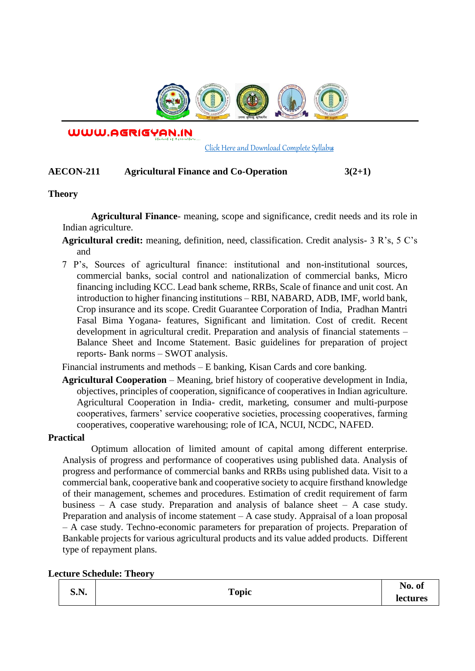

WWW.AGRIGYAN.IN

[Click Here and Download Complete Syllabus](http://agrigyan.in/)

## **AECON-211 Agricultural Finance and Co-Operation 3(2+1)**

### **Theory**

 $\overline{a}$ 

**Agricultural Finance**- meaning, scope and significance, credit needs and its role in Indian agriculture.

**Agricultural credit:** meaning, definition, need, classification. Credit analysis- 3 R's, 5 C's and

7 P's, Sources of agricultural finance: institutional and non-institutional sources, commercial banks, social control and nationalization of commercial banks, Micro financing including KCC. Lead bank scheme, RRBs, Scale of finance and unit cost. An introduction to higher financing institutions – RBI, NABARD, ADB, IMF, world bank, Crop insurance and its scope. Credit Guarantee Corporation of India, Pradhan Mantri Fasal Bima Yogana- features, Significant and limitation. Cost of credit. Recent development in agricultural credit. Preparation and analysis of financial statements – Balance Sheet and Income Statement. Basic guidelines for preparation of project reports- Bank norms – SWOT analysis.

Financial instruments and methods – E banking, Kisan Cards and core banking.

**Agricultural Cooperation** – Meaning, brief history of cooperative development in India, objectives, principles of cooperation, significance of cooperatives in Indian agriculture. Agricultural Cooperation in India- credit, marketing, consumer and multi-purpose cooperatives, farmers' service cooperative societies, processing cooperatives, farming cooperatives, cooperative warehousing; role of ICA, NCUI, NCDC, NAFED.

#### **Practical**

Optimum allocation of limited amount of capital among different enterprise. Analysis of progress and performance of cooperatives using published data. Analysis of progress and performance of commercial banks and RRBs using published data. Visit to a commercial bank, cooperative bank and cooperative society to acquire firsthand knowledge of their management, schemes and procedures. Estimation of credit requirement of farm business – A case study. Preparation and analysis of balance sheet – A case study. Preparation and analysis of income statement – A case study. Appraisal of a loan proposal – A case study. Techno-economic parameters for preparation of projects. Preparation of Bankable projects for various agricultural products and its value added products. Different type of repayment plans.

#### **Lecture Schedule: Theory**

| S.N. | <b>Topic</b> | No. of<br>- 6   |
|------|--------------|-----------------|
|      |              | <b>lectures</b> |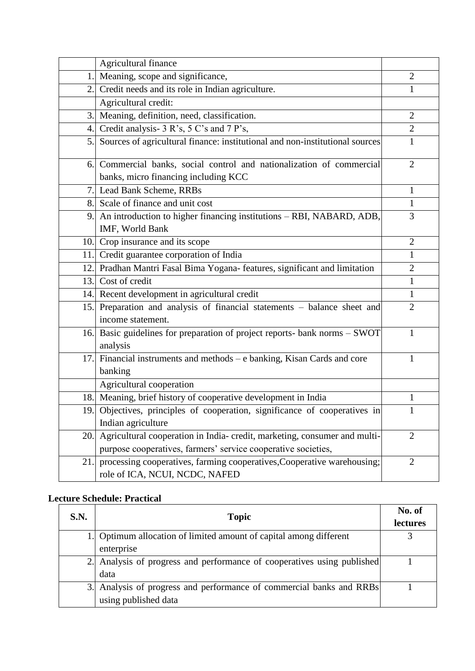|     | Agricultural finance                                                                                                                       |                |
|-----|--------------------------------------------------------------------------------------------------------------------------------------------|----------------|
| 1.  | Meaning, scope and significance,                                                                                                           | $\overline{2}$ |
| 2.  | Credit needs and its role in Indian agriculture.                                                                                           | 1              |
|     | Agricultural credit:                                                                                                                       |                |
| 3.1 | Meaning, definition, need, classification.                                                                                                 | $\overline{2}$ |
| 4.  | Credit analysis- 3 R's, 5 C's and 7 P's,                                                                                                   | $\overline{2}$ |
| 5.  | Sources of agricultural finance: institutional and non-institutional sources                                                               | 1              |
|     | 6. Commercial banks, social control and nationalization of commercial<br>banks, micro financing including KCC                              | $\overline{2}$ |
| 7.  | Lead Bank Scheme, RRBs                                                                                                                     | 1              |
| 8.1 | Scale of finance and unit cost                                                                                                             | $\mathbf{1}$   |
| 9.  | An introduction to higher financing institutions - RBI, NABARD, ADB,<br>IMF, World Bank                                                    | 3              |
|     | 10. Crop insurance and its scope                                                                                                           | $\overline{2}$ |
| 11. | Credit guarantee corporation of India                                                                                                      | 1              |
| 12. | Pradhan Mantri Fasal Bima Yogana-features, significant and limitation                                                                      | $\overline{2}$ |
| 13. | Cost of credit                                                                                                                             | 1              |
|     | 14. Recent development in agricultural credit                                                                                              | $\mathbf{1}$   |
| 15. | Preparation and analysis of financial statements - balance sheet and<br>income statement.                                                  | $\overline{2}$ |
|     | 16. Basic guidelines for preparation of project reports- bank norms - SWOT<br>analysis                                                     | $\mathbf{1}$   |
| 17. | Financial instruments and methods – e banking, Kisan Cards and core<br>banking                                                             | $\mathbf{1}$   |
|     | Agricultural cooperation                                                                                                                   |                |
|     | 18. Meaning, brief history of cooperative development in India                                                                             | 1              |
| 19. | Objectives, principles of cooperation, significance of cooperatives in<br>Indian agriculture                                               | 1              |
| 20. | Agricultural cooperation in India- credit, marketing, consumer and multi-<br>purpose cooperatives, farmers' service cooperative societies, | $\overline{2}$ |
| 21. | processing cooperatives, farming cooperatives, Cooperative warehousing;<br>role of ICA, NCUI, NCDC, NAFED                                  | $\overline{2}$ |

# **Lecture Schedule: Practical**

| S.N. | <b>Topic</b>                                                         | No. of<br><b>lectures</b> |
|------|----------------------------------------------------------------------|---------------------------|
|      | 1. Optimum allocation of limited amount of capital among different   |                           |
|      | enterprise                                                           |                           |
|      | Analysis of progress and performance of cooperatives using published |                           |
|      | data                                                                 |                           |
|      | Analysis of progress and performance of commercial banks and RRBs    |                           |
|      | using published data                                                 |                           |